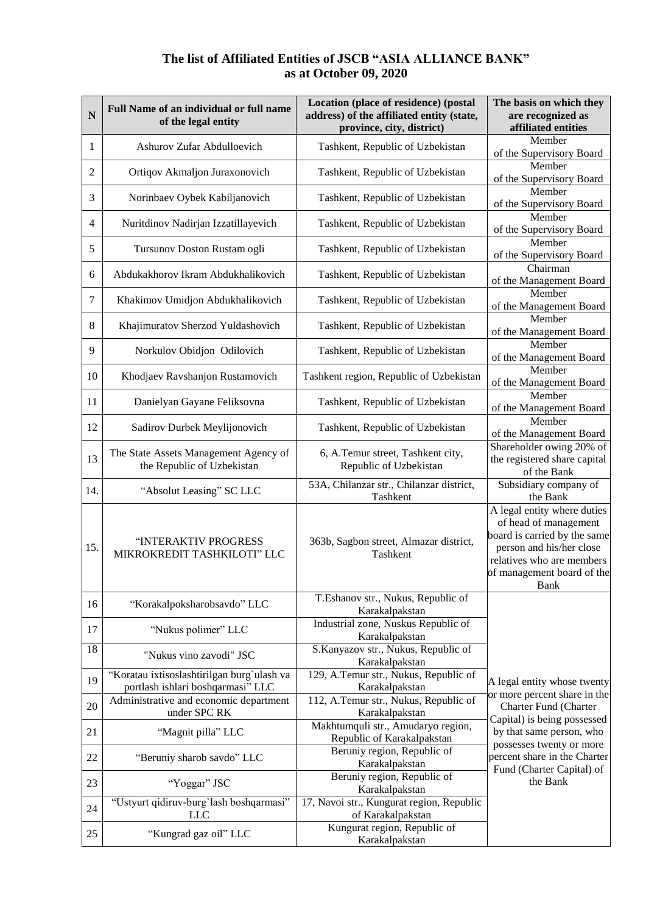## **The list of Affiliated Entities of JSCB "ASIA ALLIANCE BANK" as at October 09, 2020**

| N   | Full Name of an individual or full name<br>of the legal entity                  | Location (place of residence) (postal<br>address) of the affiliated entity (state,<br>province, city, district) | The basis on which they<br>are recognized as<br>affiliated entities                                                                                                                        |
|-----|---------------------------------------------------------------------------------|-----------------------------------------------------------------------------------------------------------------|--------------------------------------------------------------------------------------------------------------------------------------------------------------------------------------------|
| 1   | Ashurov Zufar Abdulloevich                                                      | Tashkent, Republic of Uzbekistan                                                                                | Member<br>of the Supervisory Board                                                                                                                                                         |
| 2   | Ortiqov Akmaljon Juraxonovich                                                   | Tashkent, Republic of Uzbekistan                                                                                | Member<br>of the Supervisory Board                                                                                                                                                         |
| 3   | Norinbaev Oybek Kabiljanovich                                                   | Tashkent, Republic of Uzbekistan                                                                                | Member<br>of the Supervisory Board                                                                                                                                                         |
| 4   | Nuritdinov Nadirjan Izzatillayevich                                             | Tashkent, Republic of Uzbekistan                                                                                | Member<br>of the Supervisory Board                                                                                                                                                         |
| 5   | Tursunov Doston Rustam ogli                                                     | Tashkent, Republic of Uzbekistan                                                                                | Member<br>of the Supervisory Board                                                                                                                                                         |
| 6   | Abdukakhorov Ikram Abdukhalikovich                                              | Tashkent, Republic of Uzbekistan                                                                                | Chairman<br>of the Management Board                                                                                                                                                        |
| 7   | Khakimov Umidjon Abdukhalikovich                                                | Tashkent, Republic of Uzbekistan                                                                                | Member<br>of the Management Board                                                                                                                                                          |
| 8   | Khajimuratov Sherzod Yuldashovich                                               | Tashkent, Republic of Uzbekistan                                                                                | Member<br>of the Management Board                                                                                                                                                          |
| 9   | Norkulov Obidjon Odilovich                                                      | Tashkent, Republic of Uzbekistan                                                                                | Member<br>of the Management Board                                                                                                                                                          |
| 10  | Khodjaev Ravshanjon Rustamovich                                                 | Tashkent region, Republic of Uzbekistan                                                                         | Member<br>of the Management Board                                                                                                                                                          |
| 11  | Danielyan Gayane Feliksovna                                                     | Tashkent, Republic of Uzbekistan                                                                                | Member<br>of the Management Board                                                                                                                                                          |
| 12  | Sadirov Durbek Meylijonovich                                                    | Tashkent, Republic of Uzbekistan                                                                                | Member<br>of the Management Board                                                                                                                                                          |
| 13  | The State Assets Management Agency of<br>the Republic of Uzbekistan             | 6, A.Temur street, Tashkent city,<br>Republic of Uzbekistan                                                     | Shareholder owing 20% of<br>the registered share capital<br>of the Bank                                                                                                                    |
| 14. | "Absolut Leasing" SC LLC                                                        | 53A, Chilanzar str., Chilanzar district,<br>Tashkent                                                            | Subsidiary company of<br>the Bank                                                                                                                                                          |
| 15. | "INTERAKTIV PROGRESS<br>MIKROKREDIT TASHKILOTI" LLC                             | 363b, Sagbon street, Almazar district,<br>Tashkent                                                              | A legal entity where duties<br>of head of management<br>board is carried by the same<br>person and his/her close<br>relatives who are members<br>of management board of the<br><b>Bank</b> |
| 16  | "Korakalpoksharobsavdo" LLC                                                     | T.Eshanov str., Nukus, Republic of<br>Karakalpakstan                                                            |                                                                                                                                                                                            |
| 17  | "Nukus polimer" LLC                                                             | Industrial zone, Nuskus Republic of<br>Karakalpakstan                                                           |                                                                                                                                                                                            |
| 18  | "Nukus vino zavodi" JSC                                                         | S.Kanyazov str., Nukus, Republic of<br>Karakalpakstan                                                           |                                                                                                                                                                                            |
| 19  | "Koratau ixtisoslashtirilgan burg`ulash va<br>portlash ishlari boshqarmasi" LLC | 129, A.Temur str., Nukus, Republic of<br>Karakalpakstan                                                         | A legal entity whose twenty                                                                                                                                                                |
| 20  | Administrative and economic department<br>under SPC RK                          | 112, A.Temur str., Nukus, Republic of<br>Karakalpakstan                                                         | or more percent share in the<br>Charter Fund (Charter                                                                                                                                      |
| 21  | "Magnit pilla" LLC                                                              | Makhtumquli str., Amudaryo region,<br>Republic of Karakalpakstan                                                | Capital) is being possessed<br>by that same person, who<br>possesses twenty or more                                                                                                        |
| 22  | "Beruniy sharob savdo" LLC                                                      | Beruniy region, Republic of<br>Karakalpakstan                                                                   | percent share in the Charter<br>Fund (Charter Capital) of                                                                                                                                  |
| 23  | "Yoggar" JSC                                                                    | Beruniy region, Republic of<br>Karakalpakstan                                                                   | the Bank                                                                                                                                                                                   |
| 24  | "Ustyurt qidiruv-burg'lash boshqarmasi"<br><b>LLC</b>                           | 17, Navoi str., Kungurat region, Republic<br>of Karakalpakstan                                                  |                                                                                                                                                                                            |
| 25  | "Kungrad gaz oil" LLC                                                           | Kungurat region, Republic of<br>Karakalpakstan                                                                  |                                                                                                                                                                                            |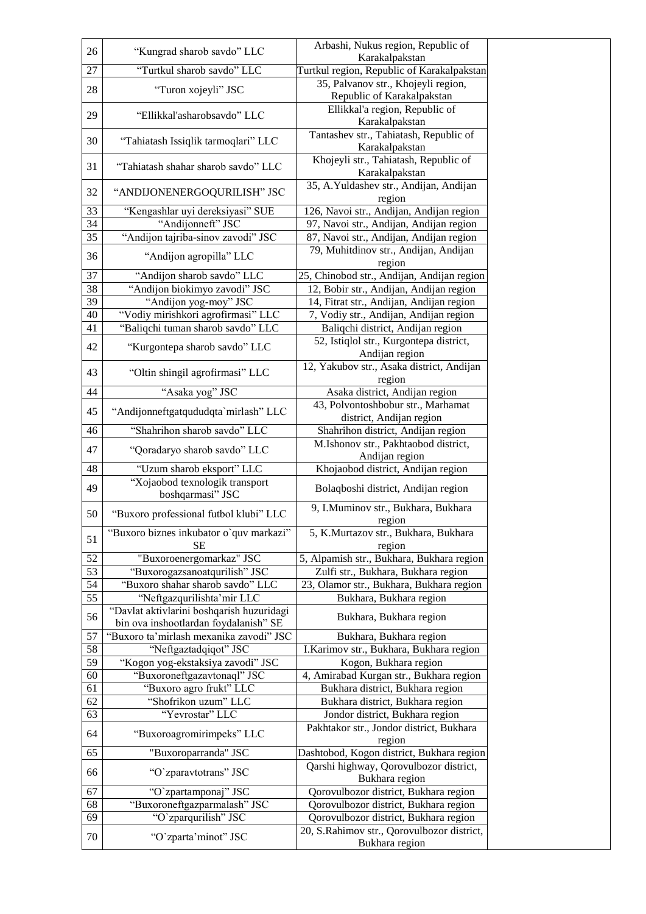| 26              | "Kungrad sharob savdo" LLC                | Arbashi, Nukus region, Republic of                           |
|-----------------|-------------------------------------------|--------------------------------------------------------------|
|                 |                                           | Karakalpakstan                                               |
| 27              | "Turtkul sharob savdo" LLC                | Turtkul region, Republic of Karakalpakstan                   |
| 28              |                                           | 35, Palvanov str., Khojeyli region,                          |
|                 | "Turon xojeyli" JSC                       | Republic of Karakalpakstan                                   |
|                 |                                           | Ellikkal'a region, Republic of                               |
| 29              | "Ellikkal'asharobsavdo" LLC               | Karakalpakstan                                               |
|                 |                                           | Tantashev str., Tahiatash, Republic of                       |
| 30              | "Tahiatash Issiqlik tarmoqlari" LLC       | Karakalpakstan                                               |
|                 |                                           | Khojeyli str., Tahiatash, Republic of                        |
| 31              | "Tahiatash shahar sharob savdo" LLC       | Karakalpakstan                                               |
|                 |                                           | 35, A.Yuldashev str., Andijan, Andijan                       |
| 32              | "ANDIJONENERGOQURILISH" JSC               | region                                                       |
| 33              | "Kengashlar uyi dereksiyasi" SUE          | 126, Navoi str., Andijan, Andijan region                     |
| 34              | "Andijonneft" JSC                         | 97, Navoi str., Andijan, Andijan region                      |
| 35              | "Andijon tajriba-sinov zavodi" JSC        |                                                              |
|                 |                                           | 87, Navoi str., Andijan, Andijan region                      |
| 36              | "Andijon agropilla" LLC                   | 79, Muhitdinov str., Andijan, Andijan                        |
|                 |                                           | region                                                       |
| 37              | "Andijon sharob savdo" LLC                | 25, Chinobod str., Andijan, Andijan region                   |
| 38              | "Andijon biokimyo zavodi" JSC             | 12, Bobir str., Andijan, Andijan region                      |
| $\overline{39}$ | "Andijon yog-moy" JSC                     | 14, Fitrat str., Andijan, Andijan region                     |
| 40              | "Vodiy mirishkori agrofirmasi" LLC        | 7, Vodiy str., Andijan, Andijan region                       |
| 41              | "Baliqchi tuman sharob savdo" LLC         | Baliqchi district, Andijan region                            |
| 42              | "Kurgontepa sharob savdo" LLC             | 52, Istiqlol str., Kurgontepa district,                      |
|                 |                                           | Andijan region                                               |
| 43              | "Oltin shingil agrofirmasi" LLC           | 12, Yakubov str., Asaka district, Andijan                    |
|                 |                                           | region                                                       |
| 44              | "Asaka yog" JSC                           | Asaka district, Andijan region                               |
| 45              | "Andijonneftgatqududqta`mirlash" LLC      | 43, Polvontoshbobur str., Marhamat                           |
|                 |                                           | district, Andijan region                                     |
| 46              | "Shahrihon sharob savdo" LLC              | Shahrihon district, Andijan region                           |
|                 |                                           | M.Ishonov str., Pakhtaobod district,                         |
| 47              | "Qoradaryo sharob savdo" LLC              | Andijan region                                               |
| 48              | "Uzum sharob eksport" LLC                 | Khojaobod district, Andijan region                           |
|                 | "Xojaobod texnologik transport            |                                                              |
| 49              | boshqarmasi" JSC                          | Bolaqboshi district, Andijan region                          |
|                 |                                           | 9, I.Muminov str., Bukhara, Bukhara                          |
|                 |                                           |                                                              |
| 50              | "Buxoro professional futbol klubi" LLC    |                                                              |
|                 |                                           | region                                                       |
| 51              | "Buxoro biznes inkubator o'quv markazi"   | 5, K.Murtazov str., Bukhara, Bukhara                         |
|                 | <b>SE</b>                                 | region                                                       |
| 52              | "Buxoroenergomarkaz" JSC                  | 5, Alpamish str., Bukhara, Bukhara region                    |
| 53              | "Buxorogazsanoatqurilish" JSC             | Zulfi str., Bukhara, Bukhara region                          |
| 54              | "Buxoro shahar sharob savdo" LLC          | 23, Olamor str., Bukhara, Bukhara region                     |
| 55              | "Neftgazqurilishta'mir LLC                | Bukhara, Bukhara region                                      |
| 56              | "Davlat aktivlarini boshqarish huzuridagi | Bukhara, Bukhara region                                      |
|                 | bin ova inshootlardan foydalanish" SE     |                                                              |
| 57              | "Buxoro ta'mirlash mexanika zavodi" JSC   | Bukhara, Bukhara region                                      |
| 58              | "Neftgaztadqiqot" JSC                     | I.Karimov str., Bukhara, Bukhara region                      |
| 59              | "Kogon yog-ekstaksiya zavodi" JSC         | Kogon, Bukhara region                                        |
| 60              | "Buxoroneftgazavtonaql" JSC               | 4, Amirabad Kurgan str., Bukhara region                      |
| 61              | "Buxoro agro frukt" LLC                   | Bukhara district, Bukhara region                             |
| 62              | "Shofrikon uzum" LLC                      | Bukhara district, Bukhara region                             |
| 63              | "Yevrostar" LLC                           | Jondor district, Bukhara region                              |
|                 |                                           | Pakhtakor str., Jondor district, Bukhara                     |
| 64              | "Buxoroagromirimpeks" LLC                 | region                                                       |
| 65              | "Buxoroparranda" JSC                      | Dashtobod, Kogon district, Bukhara region                    |
|                 |                                           | Qarshi highway, Qorovulbozor district,                       |
| 66              | "O`zparavtotrans" JSC                     | Bukhara region                                               |
| 67              |                                           | Qorovulbozor district, Bukhara region                        |
|                 | "O`zpartamponaj" JSC                      |                                                              |
| 68<br>69        | "Buxoroneftgazparmalash" JSC              | Qorovulbozor district, Bukhara region                        |
|                 | "O'zparqurilish" JSC                      | Qorovulbozor district, Bukhara region                        |
| 70              | "O`zparta'minot" JSC                      | 20, S.Rahimov str., Qorovulbozor district,<br>Bukhara region |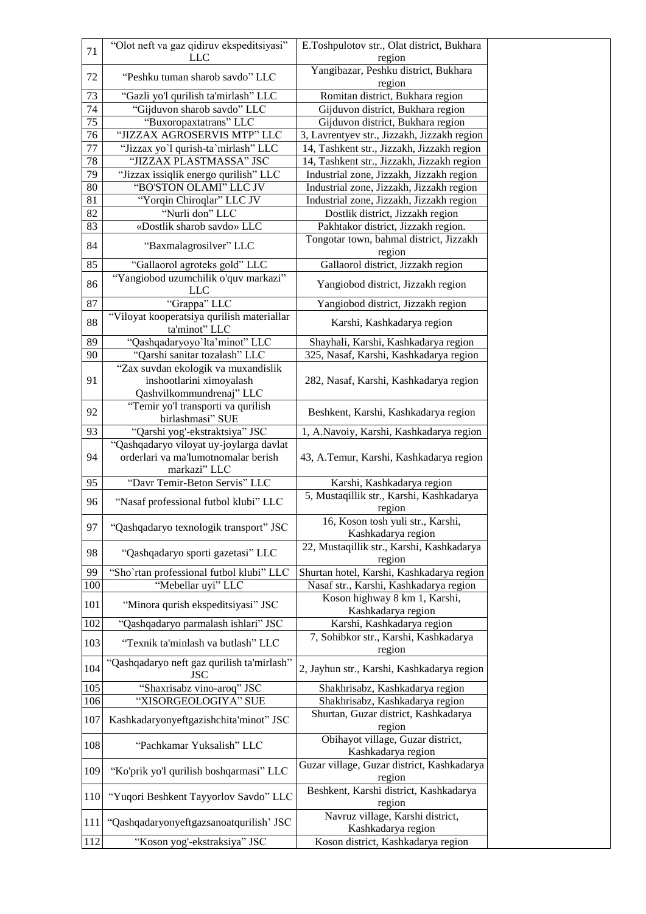| 71               | "Olot neft va gaz qidiruv ekspeditsiyasi"                                      | E.Toshpulotov str., Olat district, Bukhara     |
|------------------|--------------------------------------------------------------------------------|------------------------------------------------|
|                  | <b>LLC</b>                                                                     | region<br>Yangibazar, Peshku district, Bukhara |
| 72               | "Peshku tuman sharob savdo" LLC                                                | region                                         |
| 73               | "Gazli yo'l qurilish ta'mirlash" LLC                                           | Romitan district, Bukhara region               |
| 74               | "Gijduvon sharob savdo" LLC                                                    | Gijduvon district, Bukhara region              |
| $\overline{75}$  | "Buxoropaxtatrans" LLC                                                         | Gijduvon district, Bukhara region              |
| $\overline{76}$  | "JIZZAX AGROSERVIS MTP" LLC                                                    | 3, Lavrentyev str., Jizzakh, Jizzakh region    |
| 77               | "Jizzax yo'l qurish-ta'mirlash" LLC                                            | 14, Tashkent str., Jizzakh, Jizzakh region     |
| 78               | "JIZZAX PLASTMASSA" JSC                                                        | 14, Tashkent str., Jizzakh, Jizzakh region     |
| 79               | "Jizzax issiqlik energo qurilish" LLC                                          | Industrial zone, Jizzakh, Jizzakh region       |
| 80               | "BO'STON OLAMI" LLC JV                                                         | Industrial zone, Jizzakh, Jizzakh region       |
| 81               | "Yorqin Chiroqlar" LLC JV                                                      | Industrial zone, Jizzakh, Jizzakh region       |
| 82               | "Nurli don" LLC                                                                | Dostlik district, Jizzakh region               |
| 83               | «Dostlik sharob savdo» LLC                                                     | Pakhtakor district, Jizzakh region.            |
| 84               | "Baxmalagrosilver" LLC                                                         | Tongotar town, bahmal district, Jizzakh        |
|                  |                                                                                | region                                         |
| 85               | "Gallaorol agroteks gold" LLC                                                  | Gallaorol district, Jizzakh region             |
| 86               | "Yangiobod uzumchilik o'quv markazi"<br><b>LLC</b>                             | Yangiobod district, Jizzakh region             |
| 87               | "Grappa" LLC                                                                   | Yangiobod district, Jizzakh region             |
|                  | "Viloyat kooperatsiya qurilish materiallar                                     |                                                |
| 88               | ta'minot" LLC                                                                  | Karshi, Kashkadarya region                     |
| 89               | "Qashqadaryoyo'lta'minot" LLC                                                  | Shayhali, Karshi, Kashkadarya region           |
| 90               | "Qarshi sanitar tozalash" LLC                                                  | 325, Nasaf, Karshi, Kashkadarya region         |
|                  | "Zax suvdan ekologik va muxandislik                                            |                                                |
| 91               | inshootlarini ximoyalash                                                       | 282, Nasaf, Karshi, Kashkadarya region         |
|                  | Qashvilkommundrenaj" LLC                                                       |                                                |
| 92               | "Temir yo'l transporti va qurilish                                             | Beshkent, Karshi, Kashkadarya region           |
|                  | birlashmasi" SUE                                                               |                                                |
| 93               | "Qarshi yog'-ekstraktsiya" JSC                                                 | 1, A.Navoiy, Karshi, Kashkadarya region        |
| 94               | "Qashqadaryo viloyat uy-joylarga davlat<br>orderlari va ma'lumotnomalar berish |                                                |
|                  | markazi" LLC                                                                   | 43, A.Temur, Karshi, Kashkadarya region        |
| 95               | "Davr Temir-Beton Servis" LLC                                                  | Karshi, Kashkadarya region                     |
|                  |                                                                                | 5, Mustaqillik str., Karshi, Kashkadarya       |
| 96               | "Nasaf professional futbol klubi" LLC                                          | region                                         |
|                  |                                                                                | 16, Koson tosh yuli str., Karshi,              |
| 97               | "Qashqadaryo texnologik transport" JSC                                         | Kashkadarya region                             |
|                  |                                                                                | 22, Mustaqillik str., Karshi, Kashkadarya      |
| 98               | "Qashqadaryo sporti gazetasi" LLC                                              | region                                         |
| 99               | "Sho'rtan professional futbol klubi" LLC                                       | Shurtan hotel, Karshi, Kashkadarya region      |
| 100              | "Mebellar uyi" LLC                                                             | Nasaf str., Karshi, Kashkadarya region         |
| 101              | "Minora qurish ekspeditsiyasi" JSC                                             | Koson highway 8 km 1, Karshi,                  |
|                  |                                                                                | Kashkadarya region                             |
| 102              | "Qashqadaryo parmalash ishlari" JSC                                            | Karshi, Kashkadarya region                     |
| 103              | "Texnik ta'minlash va butlash" LLC                                             | 7, Sohibkor str., Karshi, Kashkadarya          |
|                  |                                                                                | region                                         |
| 104              | "Qashqadaryo neft gaz qurilish ta'mirlash"<br><b>JSC</b>                       | 2, Jayhun str., Karshi, Kashkadarya region     |
| $\overline{105}$ | "Shaxrisabz vino-aroq" JSC                                                     | Shakhrisabz, Kashkadarya region                |
| 106              | "XISORGEOLOGIYA" SUE                                                           | Shakhrisabz, Kashkadarya region                |
|                  |                                                                                | Shurtan, Guzar district, Kashkadarya           |
| 107              | Kashkadaryonyeftgazishchita'minot" JSC                                         | region                                         |
|                  |                                                                                | Obihayot village, Guzar district,              |
| 108              | "Pachkamar Yuksalish" LLC                                                      | Kashkadarya region                             |
|                  |                                                                                | Guzar village, Guzar district, Kashkadarya     |
| 109              | "Ko'prik yo'l qurilish boshqarmasi" LLC                                        | region                                         |
| 110              | "Yuqori Beshkent Tayyorlov Savdo" LLC                                          | Beshkent, Karshi district, Kashkadarya         |
|                  |                                                                                | region                                         |
| 111              | "Qashqadaryonyeftgazsanoatqurilish' JSC                                        | Navruz village, Karshi district,               |
|                  |                                                                                | Kashkadarya region                             |
| 112              | "Koson yog'-ekstraksiya" JSC                                                   | Koson district, Kashkadarya region             |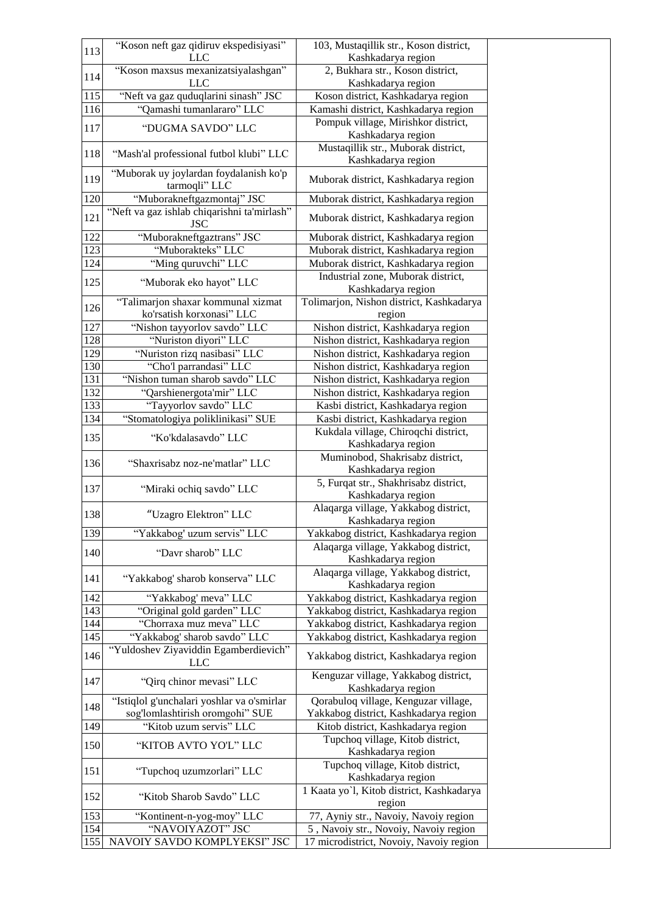| 113 | "Koson neft gaz qidiruv ekspedisiyasi"                    | 103, Mustaqillik str., Koson district,                      |
|-----|-----------------------------------------------------------|-------------------------------------------------------------|
|     | LLC                                                       | Kashkadarya region                                          |
| 114 | "Koson maxsus mexanizatsiyalashgan"                       | 2, Bukhara str., Koson district,                            |
|     | <b>LLC</b>                                                | Kashkadarya region                                          |
| 115 | "Neft va gaz quduqlarini sinash" JSC                      | Koson district, Kashkadarya region                          |
| 116 | "Qamashi tumanlararo" LLC                                 | Kamashi district, Kashkadarya region                        |
| 117 | "DUGMA SAVDO" LLC                                         | Pompuk village, Mirishkor district,                         |
|     |                                                           | Kashkadarya region                                          |
| 118 | "Mash'al professional futbol klubi" LLC                   | Mustaqillik str., Muborak district,<br>Kashkadarya region   |
| 119 | "Muborak uy joylardan foydalanish ko'p<br>tarmoqli" LLC   | Muborak district, Kashkadarya region                        |
| 120 | "Muborakneftgazmontaj" JSC                                | Muborak district, Kashkadarya region                        |
| 121 | "Neft va gaz ishlab chiqarishni ta'mirlash"<br><b>JSC</b> | Muborak district, Kashkadarya region                        |
| 122 | "Muborakneftgaztrans" JSC                                 | Muborak district, Kashkadarya region                        |
| 123 | "Muborakteks" LLC                                         | Muborak district, Kashkadarya region                        |
| 124 | "Ming quruvchi" LLC                                       | Muborak district, Kashkadarya region                        |
|     |                                                           | Industrial zone, Muborak district,                          |
| 125 | "Muborak eko hayot" LLC                                   | Kashkadarya region                                          |
|     | "Talimarjon shaxar kommunal xizmat                        | Tolimarjon, Nishon district, Kashkadarya                    |
| 126 | ko'rsatish korxonasi" LLC                                 | region                                                      |
| 127 | "Nishon tayyorlov savdo" LLC                              | Nishon district, Kashkadarya region                         |
| 128 | "Nuriston diyori" LLC                                     | Nishon district, Kashkadarya region                         |
| 129 | "Nuriston rizq nasibasi" LLC                              | Nishon district, Kashkadarya region                         |
| 130 | "Cho'l parrandasi" LLC                                    | Nishon district, Kashkadarya region                         |
| 131 | "Nishon tuman sharob savdo" LLC                           | Nishon district, Kashkadarya region                         |
| 132 | "Qarshienergota'mir" LLC                                  | Nishon district, Kashkadarya region                         |
| 133 | "Tayyorlov savdo" LLC                                     | Kasbi district, Kashkadarya region                          |
| 134 | "Stomatologiya poliklinikasi" SUE                         | Kasbi district, Kashkadarya region                          |
|     |                                                           | Kukdala village, Chiroqchi district,                        |
| 135 | "Ko'kdalasavdo" LLC                                       | Kashkadarya region                                          |
| 136 | "Shaxrisabz noz-ne'matlar" LLC                            | Muminobod, Shakrisabz district,<br>Kashkadarya region       |
| 137 | "Miraki ochiq savdo" LLC                                  | 5, Furqat str., Shakhrisabz district,<br>Kashkadarya region |
| 138 | "Uzagro Elektron" LLC                                     | Alaqarga village, Yakkabog district,<br>Kashkadarya region  |
| 139 | "Yakkabog' uzum servis" LLC                               | Yakkabog district, Kashkadarya region                       |
|     |                                                           | Alaqarga village, Yakkabog district,                        |
| 140 | "Davr sharob" LLC                                         | Kashkadarya region                                          |
|     |                                                           | Alaqarga village, Yakkabog district,                        |
| 141 | "Yakkabog' sharob konserva" LLC                           | Kashkadarya region                                          |
| 142 | "Yakkabog' meva" LLC                                      | Yakkabog district, Kashkadarya region                       |
| 143 | "Original gold garden" LLC                                | Yakkabog district, Kashkadarya region                       |
| 144 | "Chorraxa muz meva" LLC                                   | Yakkabog district, Kashkadarya region                       |
| 145 | "Yakkabog' sharob savdo" LLC                              | Yakkabog district, Kashkadarya region                       |
|     | "Yuldoshev Ziyaviddin Egamberdievich"                     |                                                             |
| 146 | LLC                                                       | Yakkabog district, Kashkadarya region                       |
| 147 | "Qirq chinor mevasi" LLC                                  | Kenguzar village, Yakkabog district,<br>Kashkadarya region  |
| 148 | "Istiqlol g'unchalari yoshlar va o'smirlar                | Qorabuloq village, Kenguzar village,                        |
|     | sog'lomlashtirish oromgohi" SUE                           | Yakkabog district, Kashkadarya region                       |
| 149 | "Kitob uzum servis" LLC                                   | Kitob district, Kashkadarya region                          |
| 150 | "KITOB AVTO YO'L" LLC                                     | Tupchoq village, Kitob district,<br>Kashkadarya region      |
| 151 | "Tupchoq uzumzorlari" LLC                                 | Tupchoq village, Kitob district,<br>Kashkadarya region      |
| 152 | "Kitob Sharob Savdo" LLC                                  | 1 Kaata yo'l, Kitob district, Kashkadarya<br>region         |
| 153 | "Kontinent-n-yog-moy" LLC                                 | 77, Ayniy str., Navoiy, Navoiy region                       |
| 154 | "NAVOIYAZOT" JSC                                          | 5, Navoiy str., Novoiy, Navoiy region                       |
| 155 | NAVOIY SAVDO KOMPLYEKSI" JSC                              | 17 microdistrict, Novoiy, Navoiy region                     |
|     |                                                           |                                                             |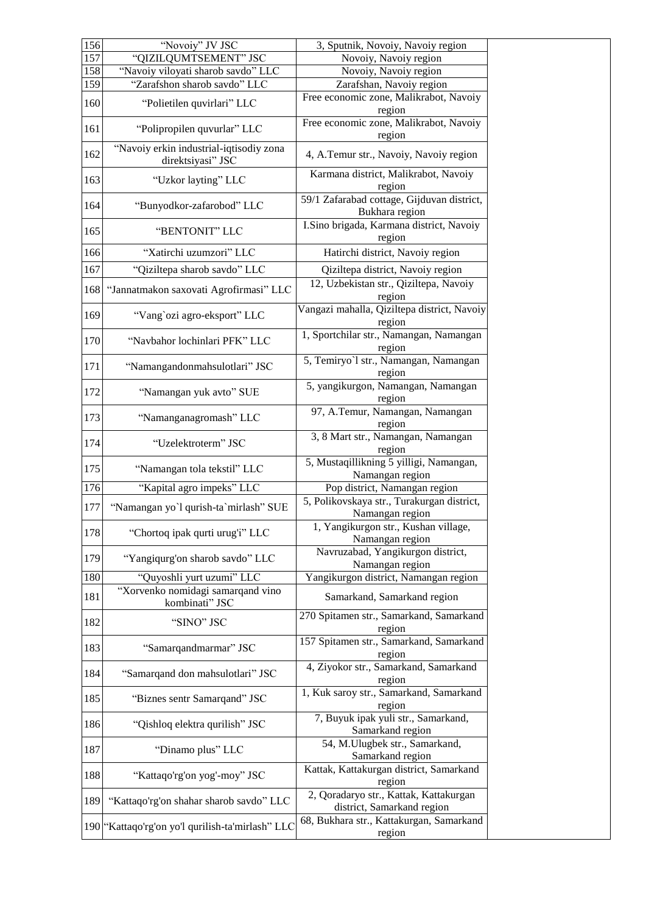| 156 | "Novoiy" JV JSC                                              | 3, Sputnik, Novoiy, Navoiy region                                    |
|-----|--------------------------------------------------------------|----------------------------------------------------------------------|
| 157 | "QIZILQUMTSEMENT" JSC                                        | Novoiy, Navoiy region                                                |
| 158 | "Navoiy viloyati sharob savdo" LLC                           | Novoiy, Navoiy region                                                |
| 159 | "Zarafshon sharob savdo" LLC                                 | Zarafshan, Navoiy region                                             |
| 160 | "Polietilen quvirlari" LLC                                   | Free economic zone, Malikrabot, Navoiy<br>region                     |
| 161 | "Polipropilen quvurlar" LLC                                  | Free economic zone, Malikrabot, Navoiy<br>region                     |
| 162 | "Navoiy erkin industrial-iqtisodiy zona<br>direktsiyasi" JSC | 4, A.Temur str., Navoiy, Navoiy region                               |
| 163 | "Uzkor layting" LLC                                          | Karmana district, Malikrabot, Navoiy<br>region                       |
| 164 | "Bunyodkor-zafarobod" LLC                                    | 59/1 Zafarabad cottage, Gijduvan district,<br>Bukhara region         |
| 165 | "BENTONIT" LLC                                               | I.Sino brigada, Karmana district, Navoiy<br>region                   |
| 166 | "Xatirchi uzumzori" LLC                                      | Hatirchi district, Navoiy region                                     |
| 167 | "Qiziltepa sharob savdo" LLC                                 | Qiziltepa district, Navoiy region                                    |
| 168 | "Jannatmakon saxovati Agrofirmasi" LLC                       | 12, Uzbekistan str., Qiziltepa, Navoiy<br>region                     |
| 169 | "Vang`ozi agro-eksport" LLC                                  | Vangazi mahalla, Qiziltepa district, Navoiy<br>region                |
| 170 | "Navbahor lochinlari PFK" LLC                                | 1, Sportchilar str., Namangan, Namangan<br>region                    |
| 171 | "Namangandonmahsulotlari" JSC                                | 5, Temiryo'l str., Namangan, Namangan<br>region                      |
| 172 | "Namangan yuk avto" SUE                                      | 5, yangikurgon, Namangan, Namangan<br>region                         |
| 173 | "Namanganagromash" LLC                                       | 97, A.Temur, Namangan, Namangan<br>region                            |
| 174 | "Uzelektroterm" JSC                                          | 3, 8 Mart str., Namangan, Namangan<br>region                         |
| 175 | "Namangan tola tekstil" LLC                                  | 5, Mustaqillikning 5 yilligi, Namangan,<br>Namangan region           |
| 176 | "Kapital agro impeks" LLC                                    | Pop district, Namangan region                                        |
| 177 | "Namangan yo'l qurish-ta'mirlash" SUE                        | 5, Polikovskaya str., Turakurgan district,<br>Namangan region        |
| 178 | "Chortoq ipak qurti urug'i" LLC                              | 1, Yangikurgon str., Kushan village,<br>Namangan region              |
| 179 | "Yangiqurg'on sharob savdo" LLC                              | Navruzabad, Yangikurgon district,<br>Namangan region                 |
| 180 | "Quyoshli yurt uzumi" LLC                                    | Yangikurgon district, Namangan region                                |
| 181 | "Xorvenko nomidagi samarqand vino<br>kombinati" JSC          | Samarkand, Samarkand region                                          |
| 182 | "SINO" JSC                                                   | 270 Spitamen str., Samarkand, Samarkand<br>region                    |
| 183 | "Samarqandmarmar" JSC                                        | 157 Spitamen str., Samarkand, Samarkand<br>region                    |
| 184 | "Samarqand don mahsulotlari" JSC                             | 4, Ziyokor str., Samarkand, Samarkand<br>region                      |
| 185 | "Biznes sentr Samarqand" JSC                                 | 1, Kuk saroy str., Samarkand, Samarkand<br>region                    |
| 186 | "Qishloq elektra qurilish" JSC                               | 7, Buyuk ipak yuli str., Samarkand,<br>Samarkand region              |
| 187 | "Dinamo plus" LLC                                            | 54, M.Ulugbek str., Samarkand,<br>Samarkand region                   |
| 188 | "Kattaqo'rg'on yog'-moy" JSC                                 | Kattak, Kattakurgan district, Samarkand<br>region                    |
| 189 | "Kattaqo'rg'on shahar sharob savdo" LLC                      | 2, Qoradaryo str., Kattak, Kattakurgan<br>district, Samarkand region |
|     | 190 "Kattaqo'rg'on yo'l qurilish-ta'mirlash" LLC             | 68, Bukhara str., Kattakurgan, Samarkand<br>region                   |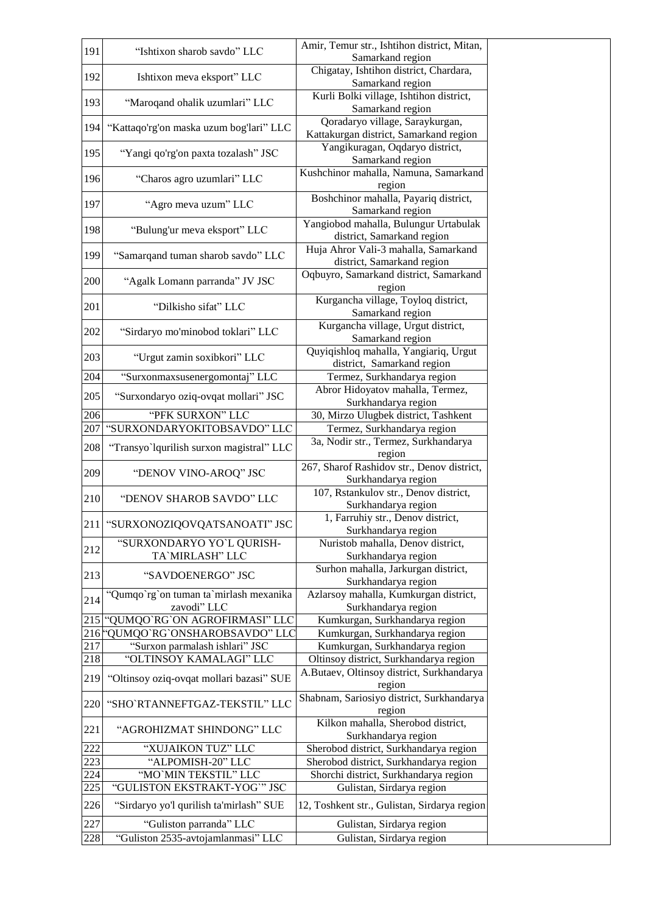| 191 | "Ishtixon sharob savdo" LLC                           | Amir, Temur str., Ishtihon district, Mitan,<br>Samarkand region           |
|-----|-------------------------------------------------------|---------------------------------------------------------------------------|
| 192 |                                                       | Chigatay, Ishtihon district, Chardara,                                    |
|     | Ishtixon meva eksport" LLC                            | Samarkand region                                                          |
| 193 | "Maroqand ohalik uzumlari" LLC                        | Kurli Bolki village, Ishtihon district,<br>Samarkand region               |
| 194 | "Kattaqo'rg'on maska uzum bog'lari" LLC               | Qoradaryo village, Saraykurgan,<br>Kattakurgan district, Samarkand region |
| 195 | "Yangi qo'rg'on paxta tozalash" JSC                   | Yangikuragan, Oqdaryo district,<br>Samarkand region                       |
| 196 | "Charos agro uzumlari" LLC                            | Kushchinor mahalla, Namuna, Samarkand<br>region                           |
| 197 | "Agro meva uzum" LLC                                  | Boshchinor mahalla, Payariq district,<br>Samarkand region                 |
| 198 | "Bulung'ur meva eksport" LLC                          | Yangiobod mahalla, Bulungur Urtabulak<br>district, Samarkand region       |
| 199 | "Samarqand tuman sharob savdo" LLC                    | Huja Ahror Vali-3 mahalla, Samarkand<br>district, Samarkand region        |
| 200 | "Agalk Lomann parranda" JV JSC                        | Oqbuyro, Samarkand district, Samarkand<br>region                          |
| 201 | "Dilkisho sifat" LLC                                  | Kurgancha village, Toyloq district,<br>Samarkand region                   |
| 202 | "Sirdaryo mo'minobod toklari" LLC                     | Kurgancha village, Urgut district,<br>Samarkand region                    |
| 203 | "Urgut zamin soxibkori" LLC                           | Quyiqishloq mahalla, Yangiariq, Urgut<br>district, Samarkand region       |
| 204 | "Surxonmaxsusenergomontaj" LLC                        | Termez, Surkhandarya region                                               |
| 205 | "Surxondaryo oziq-ovqat mollari" JSC                  | Abror Hidoyatov mahalla, Termez,<br>Surkhandarya region                   |
| 206 | "PFK SURXON" LLC                                      | 30, Mirzo Ulugbek district, Tashkent                                      |
| 207 | "SURXONDARYOKITOBSAVDO" LLC                           | Termez, Surkhandarya region                                               |
| 208 | "Transyo'lqurilish surxon magistral" LLC              | 3a, Nodir str., Termez, Surkhandarya<br>region                            |
| 209 | "DENOV VINO-AROQ" JSC                                 | 267, Sharof Rashidov str., Denov district,<br>Surkhandarya region         |
| 210 | "DENOV SHAROB SAVDO" LLC                              | 107, Rstankulov str., Denov district,<br>Surkhandarya region              |
|     | 211 "SURXONOZIQOVQATSANOATI" JSC                      | 1, Farruhiy str., Denov district,<br>Surkhandarya region                  |
| 212 | "SURXONDARYO YO`L QURISH-<br>TA'MIRLASH" LLC          | Nuristob mahalla, Denov district,<br>Surkhandarya region                  |
| 213 | "SAVDOENERGO" JSC                                     | Surhon mahalla, Jarkurgan district,<br>Surkhandarya region                |
| 214 | "Qumqo`rg`on tuman ta`mirlash mexanika<br>zavodi" LLC | Azlarsoy mahalla, Kumkurgan district,<br>Surkhandarya region              |
| 215 | "QUMQO`RG`ON AGROFIRMASI" LLC                         | Kumkurgan, Surkhandarya region                                            |
| 216 | 'QUMQO`RG`ONSHAROBSAVDO" LLC                          | Kumkurgan, Surkhandarya region                                            |
| 217 | "Surxon parmalash ishlari" JSC                        | Kumkurgan, Surkhandarya region                                            |
| 218 | "OLTINSOY KAMALAGI" LLC                               | Oltinsoy district, Surkhandarya region                                    |
| 219 | "Oltinsoy oziq-ovqat mollari bazasi" SUE              | A.Butaev, Oltinsoy district, Surkhandarya<br>region                       |
| 220 | "SHO`RTANNEFTGAZ-TEKSTIL" LLC                         | Shabnam, Sariosiyo district, Surkhandarya<br>region                       |
| 221 | "AGROHIZMAT SHINDONG" LLC                             | Kilkon mahalla, Sherobod district,<br>Surkhandarya region                 |
| 222 | "XUJAIKON TUZ" LLC                                    | Sherobod district, Surkhandarya region                                    |
| 223 | "ALPOMISH-20" LLC                                     | Sherobod district, Surkhandarya region                                    |
| 224 | "MO`MIN TEKSTIL" LLC                                  | Shorchi district, Surkhandarya region                                     |
| 225 | "GULISTON EKSTRAKT-YOG"" JSC                          | Gulistan, Sirdarya region                                                 |
| 226 | "Sirdaryo yo'l qurilish ta'mirlash" SUE               | 12, Toshkent str., Gulistan, Sirdarya region                              |
| 227 | "Guliston parranda" LLC                               | Gulistan, Sirdarya region                                                 |
| 228 | "Guliston 2535-avtojamlanmasi" LLC                    | Gulistan, Sirdarya region                                                 |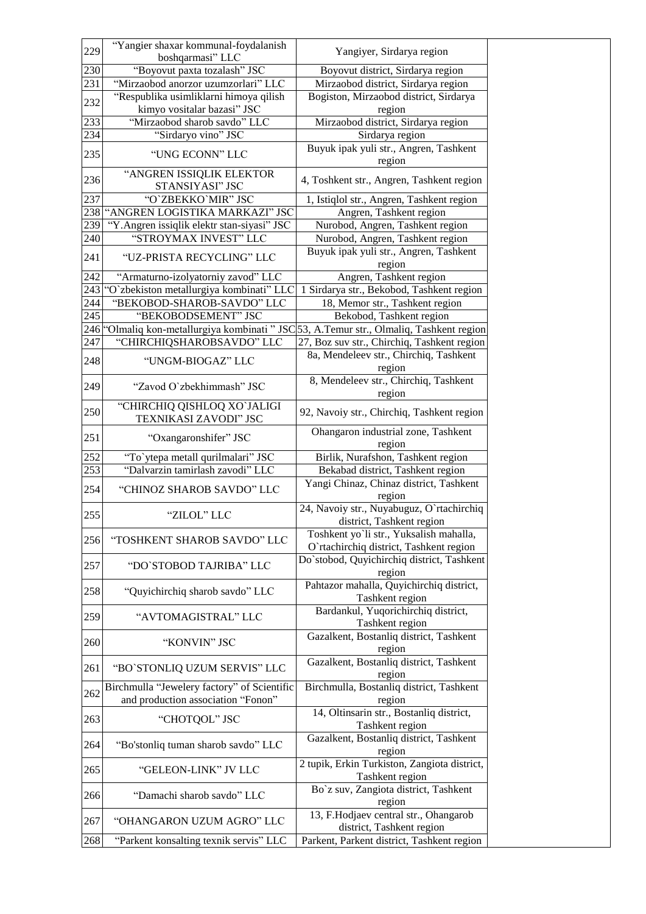| 229        | "Yangier shaxar kommunal-foydalanish                                                     | Yangiyer, Sirdarya region                                                          |
|------------|------------------------------------------------------------------------------------------|------------------------------------------------------------------------------------|
|            | boshqarmasi" LLC<br>"Boyovut paxta tozalash" JSC                                         |                                                                                    |
| 230<br>231 | "Mirzaobod anorzor uzumzorlari" LLC                                                      | Boyovut district, Sirdarya region<br>Mirzaobod district, Sirdarya region           |
|            | "Respublika usimliklarni himoya qilish                                                   | Bogiston, Mirzaobod district, Sirdarya                                             |
| 232        | kimyo vositalar bazasi" JSC                                                              | region                                                                             |
| 233        | "Mirzaobod sharob savdo" LLC                                                             | Mirzaobod district, Sirdarya region                                                |
| 234        | "Sirdaryo vino" JSC                                                                      | Sirdarya region                                                                    |
| 235        | "UNG ECONN" LLC                                                                          | Buyuk ipak yuli str., Angren, Tashkent<br>region                                   |
| 236        | "ANGREN ISSIQLIK ELEKTOR<br>STANSIYASI" JSC                                              | 4, Toshkent str., Angren, Tashkent region                                          |
| 237        | "O'ZBEKKO'MIR" JSC                                                                       | 1, Istiqlol str., Angren, Tashkent region                                          |
| 238        | "ANGREN LOGISTIKA MARKAZI" JSC                                                           | Angren, Tashkent region                                                            |
| 239        | "Y.Angren issiqlik elektr stan-siyasi" JSC                                               | Nurobod, Angren, Tashkent region                                                   |
| 240        | "STROYMAX INVEST" LLC                                                                    | Nurobod, Angren, Tashkent region                                                   |
| 241        | "UZ-PRISTA RECYCLING" LLC                                                                | Buyuk ipak yuli str., Angren, Tashkent<br>region                                   |
| 242        | "Armaturno-izolyatorniy zavod" LLC                                                       | Angren, Tashkent region                                                            |
| 243        | "O`zbekiston metallurgiya kombinati" LLC                                                 | 1 Sirdarya str., Bekobod, Tashkent region                                          |
| 244        | "BEKOBOD-SHAROB-SAVDO" LLC                                                               | 18, Memor str., Tashkent region                                                    |
| 245        | "BEKOBODSEMENT" JSC                                                                      | Bekobod, Tashkent region                                                           |
|            | 246 "Olmaliq kon-metallurgiya kombinati " JSC 53, A.Temur str., Olmaliq, Tashkent region |                                                                                    |
| 247        | "CHIRCHIQSHAROBSAVDO" LLC                                                                | 27, Boz suv str., Chirchiq, Tashkent region                                        |
| 248        | "UNGM-BIOGAZ" LLC                                                                        | 8a, Mendeleev str., Chirchiq, Tashkent<br>region                                   |
| 249        | "Zavod O'zbekhimmash" JSC                                                                | 8, Mendeleev str., Chirchiq, Tashkent<br>region                                    |
| 250        | "CHIRCHIQ QISHLOQ XO`JALIGI<br>TEXNIKASI ZAVODI" JSC                                     | 92, Navoiy str., Chirchiq, Tashkent region                                         |
| 251        | "Oxangaronshifer" JSC                                                                    | Ohangaron industrial zone, Tashkent<br>region                                      |
| 252        | "To`ytepa metall qurilmalari" JSC                                                        | Birlik, Nurafshon, Tashkent region                                                 |
| 253        | "Dalvarzin tamirlash zavodi" LLC                                                         | Bekabad district, Tashkent region                                                  |
| 254        | "CHINOZ SHAROB SAVDO" LLC                                                                | Yangi Chinaz, Chinaz district, Tashkent<br>region                                  |
| 255        | "ZILOL" LLC                                                                              | 24, Navoiy str., Nuyabuguz, O`rtachirchiq<br>district, Tashkent region             |
| 256        | "TOSHKENT SHAROB SAVDO" LLC                                                              | Toshkent yo'li str., Yuksalish mahalla,<br>O'rtachirchiq district, Tashkent region |
| 257        | "DO`STOBOD TAJRIBA" LLC                                                                  | Do'stobod, Quyichirchiq district, Tashkent<br>region                               |
| 258        | "Quyichirchiq sharob savdo" LLC                                                          | Pahtazor mahalla, Quyichirchiq district,<br>Tashkent region                        |
| 259        | "AVTOMAGISTRAL" LLC                                                                      | Bardankul, Yuqorichirchiq district,<br>Tashkent region                             |
| 260        | "KONVIN" JSC                                                                             | Gazalkent, Bostanliq district, Tashkent<br>region                                  |
| 261        | "BO`STONLIQ UZUM SERVIS" LLC                                                             | Gazalkent, Bostanliq district, Tashkent<br>region                                  |
| 262        | Birchmulla "Jewelery factory" of Scientific<br>and production association "Fonon"        | Birchmulla, Bostanliq district, Tashkent<br>region                                 |
| 263        | "CHOTQOL" JSC                                                                            | 14, Oltinsarin str., Bostanliq district,<br>Tashkent region                        |
| 264        | "Bo'stonliq tuman sharob savdo" LLC                                                      | Gazalkent, Bostanliq district, Tashkent<br>region                                  |
| 265        | "GELEON-LINK" JV LLC                                                                     | 2 tupik, Erkin Turkiston, Zangiota district,<br>Tashkent region                    |
| 266        | "Damachi sharob savdo" LLC                                                               | Bo'z suv, Zangiota district, Tashkent<br>region                                    |
| 267        | "OHANGARON UZUM AGRO" LLC                                                                | 13, F.Hodjaev central str., Ohangarob<br>district, Tashkent region                 |
| 268        | "Parkent konsalting texnik servis" LLC                                                   | Parkent, Parkent district, Tashkent region                                         |
|            |                                                                                          |                                                                                    |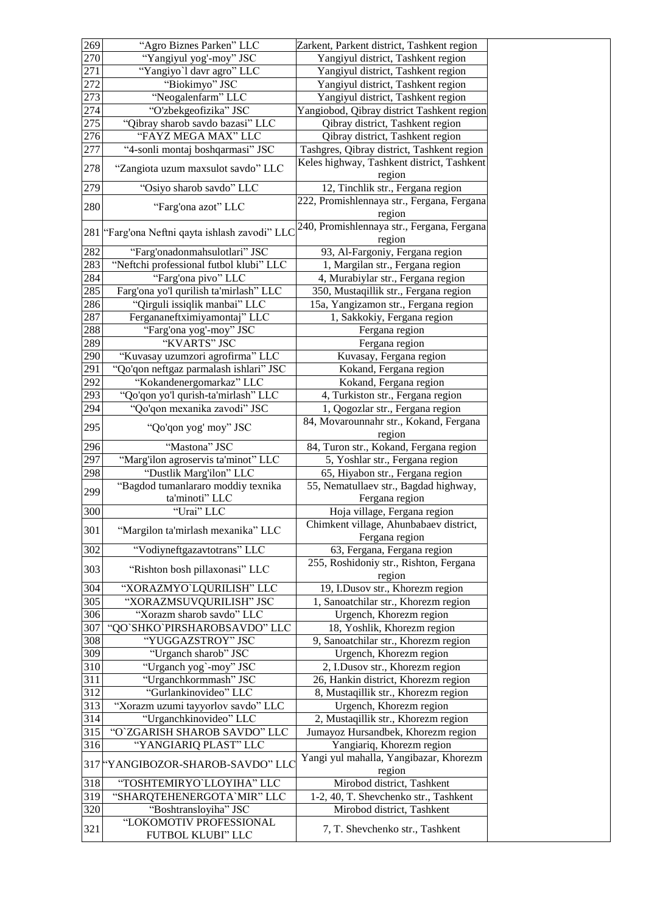| 269 | "Agro Biznes Parken" LLC                     | Zarkent, Parkent district, Tashkent region               |
|-----|----------------------------------------------|----------------------------------------------------------|
| 270 | "Yangiyul yog'-moy" JSC                      | Yangiyul district, Tashkent region                       |
| 271 | "Yangiyo'l davr agro" LLC                    | Yangiyul district, Tashkent region                       |
| 272 | "Biokimyo" JSC                               | Yangiyul district, Tashkent region                       |
| 273 | "Neogalenfarm" LLC                           | Yangiyul district, Tashkent region                       |
| 274 | "O'zbekgeofizika" JSC                        | Yangiobod, Qibray district Tashkent region               |
| 275 | "Qibray sharob savdo bazasi" LLC             | Qibray district, Tashkent region                         |
| 276 | "FAYZ MEGA MAX" LLC                          | Qibray district, Tashkent region                         |
| 277 | "4-sonli montaj boshqarmasi" JSC             | Tashgres, Qibray district, Tashkent region               |
| 278 | "Zangiota uzum maxsulot savdo" LLC           | Keles highway, Tashkent district, Tashkent<br>region     |
| 279 | "Osiyo sharob savdo" LLC                     | 12, Tinchlik str., Fergana region                        |
| 280 | "Farg'ona azot" LLC                          | 222, Promishlennaya str., Fergana, Fergana<br>region     |
| 281 | "Farg'ona Neftni qayta ishlash zavodi" LLC   | 240, Promishlennaya str., Fergana, Fergana<br>region     |
| 282 | "Farg'onadonmahsulotlari" JSC                | 93, Al-Fargoniy, Fergana region                          |
| 283 | "Neftchi professional futbol klubi" LLC      | 1, Margilan str., Fergana region                         |
| 284 | "Farg'ona pivo" LLC                          | 4, Murabiylar str., Fergana region                       |
| 285 | Farg'ona yo'l qurilish ta'mirlash" LLC       | 350, Mustaqillik str., Fergana region                    |
| 286 | "Qirguli issiqlik manbai" LLC                | 15a, Yangizamon str., Fergana region                     |
| 287 | Fergananeftximiyamontaj" LLC                 | 1, Sakkokiy, Fergana region                              |
| 288 | "Farg'ona yog'-moy" JSC                      | Fergana region                                           |
| 289 | "KVARTS" JSC                                 | Fergana region                                           |
| 290 | "Kuvasay uzumzori agrofirma" LLC             | Kuvasay, Fergana region                                  |
| 291 | "Qo'qon neftgaz parmalash ishlari" JSC       | Kokand, Fergana region                                   |
| 292 | "Kokandenergomarkaz" LLC                     | Kokand, Fergana region                                   |
| 293 | "Qo'qon yo'l qurish-ta'mirlash" LLC          | 4, Turkiston str., Fergana region                        |
| 294 | "Qo'qon mexanika zavodi" JSC                 | 1, Qogozlar str., Fergana region                         |
| 295 | "Qo'qon yog' moy" JSC                        | 84, Movarounnahr str., Kokand, Fergana<br>region         |
| 296 | "Mastona" JSC                                | 84, Turon str., Kokand, Fergana region                   |
| 297 | "Marg'ilon agroservis ta'minot" LLC          | 5, Yoshlar str., Fergana region                          |
| 298 | "Dustlik Marg'ilon" LLC                      | 65, Hiyabon str., Fergana region                         |
|     | "Bagdod tumanlararo moddiy texnika           | 55, Nematullaev str., Bagdad highway,                    |
| 299 | ta'minoti" LLC                               | Fergana region                                           |
| 300 | "Urai" LLC                                   | Hoja village, Fergana region                             |
| 301 | "Margilon ta'mirlash mexanika" LLC           | Chimkent village, Ahunbabaev district,<br>Fergana region |
| 302 | "Vodiyneftgazavtotrans" LLC                  | 63, Fergana, Fergana region                              |
|     |                                              | 255, Roshidoniy str., Rishton, Fergana                   |
| 303 | "Rishton bosh pillaxonasi" LLC               | region                                                   |
| 304 | "XORAZMYO`LQURILISH" LLC                     | 19, I.Dusov str., Khorezm region                         |
| 305 | "XORAZMSUVQURILISH" JSC                      | 1, Sanoatchilar str., Khorezm region                     |
| 306 | "Xorazm sharob savdo" LLC                    | Urgench, Khorezm region                                  |
| 307 | "QO`SHKO`PIRSHAROBSAVDO" LLC                 | 18, Yoshlik, Khorezm region                              |
| 308 | "YUGGAZSTROY" JSC                            | 9, Sanoatchilar str., Khorezm region                     |
| 309 | "Urganch sharob" JSC                         | Urgench, Khorezm region                                  |
| 310 | "Urganch yog`-moy" JSC                       | 2, I.Dusov str., Khorezm region                          |
| 311 | "Urganchkormmash" JSC                        | 26, Hankin district, Khorezm region                      |
| 312 | "Gurlankinovideo" LLC                        | 8, Mustaqillik str., Khorezm region                      |
| 313 | "Xorazm uzumi tayyorlov savdo" LLC           | Urgench, Khorezm region                                  |
| 314 | "Urganchkinovideo" LLC                       | 2, Mustaqillik str., Khorezm region                      |
| 315 | "O'ZGARISH SHAROB SAVDO" LLC                 | Jumayoz Hursandbek, Khorezm region                       |
| 316 | "YANGIARIQ PLAST" LLC                        | Yangiariq, Khorezm region                                |
| 317 | 'YANGIBOZOR-SHAROB-SAVDO" LLC                | Yangi yul mahalla, Yangibazar, Khorezm<br>region         |
| 318 | "TOSHTEMIRYO'LLOYIHA" LLC                    | Mirobod district, Tashkent                               |
| 319 | "SHARQTEHENERGOTA`MIR" LLC                   | 1-2, 40, T. Shevchenko str., Tashkent                    |
| 320 | "Boshtransloyiha" JSC                        | Mirobod district, Tashkent                               |
| 321 | "LOKOMOTIV PROFESSIONAL<br>FUTBOL KLUBI" LLC | 7, T. Shevchenko str., Tashkent                          |
|     |                                              |                                                          |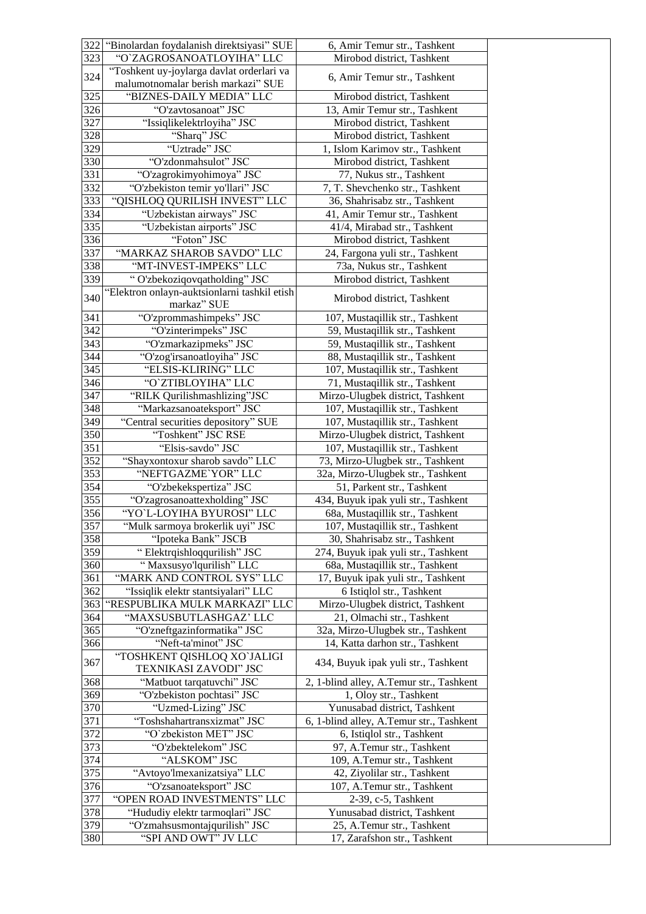| 322              | "Binolardan foydalanish direktsiyasi" SUE    | 6, Amir Temur str., Tashkent             |
|------------------|----------------------------------------------|------------------------------------------|
| $32\overline{3}$ | "O'ZAGROSANOATLOYIHA" LLC                    | Mirobod district, Tashkent               |
| 324              | "Toshkent uy-joylarga davlat orderlari va    | 6, Amir Temur str., Tashkent             |
|                  | malumotnomalar berish markazi" SUE           |                                          |
| 325              | "BIZNES-DAILY MEDIA" LLC                     | Mirobod district, Tashkent               |
| 326              | "O'zavtosanoat" JSC                          | 13, Amir Temur str., Tashkent            |
| 327              | "Issiqlikelektrloyiha" JSC                   | Mirobod district, Tashkent               |
| 328              | "Sharq" JSC                                  | Mirobod district, Tashkent               |
| 329              | "Uztrade" JSC                                | 1, Islom Karimov str., Tashkent          |
| 330              | "O'zdonmahsulot" JSC                         | Mirobod district, Tashkent               |
| 331              | "O'zagrokimyohimoya" JSC                     | 77, Nukus str., Tashkent                 |
| 332              | "O'zbekiston temir yo'llari" JSC             | 7, T. Shevchenko str., Tashkent          |
| 333              | "QISHLOQ QURILISH INVEST" LLC                | 36, Shahrisabz str., Tashkent            |
| 334              | "Uzbekistan airways" JSC                     | 41, Amir Temur str., Tashkent            |
| 335              | "Uzbekistan airports" JSC                    | 41/4, Mirabad str., Tashkent             |
| 336              | "Foton" JSC                                  | Mirobod district, Tashkent               |
| 337              | "MARKAZ SHAROB SAVDO" LLC                    | 24, Fargona yuli str., Tashkent          |
| 338              | "MT-INVEST-IMPEKS" LLC                       | 73a, Nukus str., Tashkent                |
| 339              | "O'zbekoziqovqatholding" JSC                 | Mirobod district, Tashkent               |
|                  | "Elektron onlayn-auktsionlarni tashkil etish |                                          |
| 340              | markaz" SUE                                  | Mirobod district, Tashkent               |
| 341              | "O'zprommashimpeks" JSC                      | 107, Mustaqillik str., Tashkent          |
| 342              | "O'zinterimpeks" JSC                         | 59, Mustaqillik str., Tashkent           |
| 343              | "O'zmarkazipmeks" JSC                        | 59, Mustaqillik str., Tashkent           |
| 344              | "O'zog'irsanoatloyiha" JSC                   | 88, Mustaqillik str., Tashkent           |
| 345              | "ELSIS-KLIRING" LLC                          | 107, Mustaqillik str., Tashkent          |
| 346              | "O'ZTIBLOYIHA" LLC                           | 71, Mustaqillik str., Tashkent           |
| 347              | "RILK Qurilishmashlizing"JSC                 | Mirzo-Ulugbek district, Tashkent         |
| 348              | "Markazsanoateksport" JSC                    | 107, Mustaqillik str., Tashkent          |
| 349              | "Central securities depository" SUE          | 107, Mustaqillik str., Tashkent          |
| 350              | "Toshkent" JSC RSE                           | Mirzo-Ulugbek district, Tashkent         |
| 351              | "Elsis-savdo" JSC                            | 107, Mustaqillik str., Tashkent          |
| 352              | "Shayxontoxur sharob savdo" LLC              | 73, Mirzo-Ulugbek str., Tashkent         |
| 353              | "NEFTGAZME`YOR" LLC                          | 32a, Mirzo-Ulugbek str., Tashkent        |
| 354              | "O'zbekekspertiza" JSC                       | 51, Parkent str., Tashkent               |
| 355              | "O'zagrosanoattexholding" JSC                | 434, Buyuk ipak yuli str., Tashkent      |
| 356              | "YO'L-LOYIHA BYUROSI" LLC                    | 68a, Mustaqillik str., Tashkent          |
| 357              | "Mulk sarmoya brokerlik uyi" JSC             | 107, Mustaqillik str., Tashkent          |
| 358              | "Ipoteka Bank" JSCB                          | 30, Shahrisabz str., Tashkent            |
| 359              | "Elektrqishloqqurilish" JSC                  | 274, Buyuk ipak yuli str., Tashkent      |
| 360              | "Maxsusyo'lqurilish" LLC                     | 68a, Mustaqillik str., Tashkent          |
| 361              | "MARK AND CONTROL SYS" LLC                   | 17, Buyuk ipak yuli str., Tashkent       |
| 362              | "Issiqlik elektr stantsiyalari" LLC          | 6 Istiqlol str., Tashkent                |
| 363              | "RESPUBLIKA MULK MARKAZI" LLC                | Mirzo-Ulugbek district, Tashkent         |
| 364              | "MAXSUSBUTLASHGAZ' LLC                       | 21, Olmachi str., Tashkent               |
| 365              | "O'zneftgazinformatika" JSC                  | 32a, Mirzo-Ulugbek str., Tashkent        |
| 366              | "Neft-ta'minot" JSC                          | 14, Katta darhon str., Tashkent          |
|                  | "TOSHKENT QISHLOQ XO`JALIGI                  |                                          |
| 367              | TEXNIKASI ZAVODI" JSC                        | 434, Buyuk ipak yuli str., Tashkent      |
| 368              | "Matbuot tarqatuvchi" JSC                    | 2, 1-blind alley, A.Temur str., Tashkent |
| 369              | "O'zbekiston pochtasi" JSC                   | 1, Oloy str., Tashkent                   |
| 370              | "Uzmed-Lizing" JSC                           | Yunusabad district, Tashkent             |
|                  | "Toshshahartransxizmat" JSC                  |                                          |
| 371              |                                              | 6, 1-blind alley, A.Temur str., Tashkent |
| 372              | "O'zbekiston MET" JSC                        | 6, Istiqlol str., Tashkent               |
| 373              | "O'zbektelekom" JSC                          | 97, A.Temur str., Tashkent               |
| 374              | "ALSKOM" JSC                                 | 109, A.Temur str., Tashkent              |
| 375              | "Avtoyo'lmexanizatsiya" LLC                  | 42, Ziyolilar str., Tashkent             |
| 376              | "O'zsanoateksport" JSC                       | 107, A.Temur str., Tashkent              |
| 377              | "OPEN ROAD INVESTMENTS" LLC                  | 2-39, c-5, Tashkent                      |
| 378              | "Hududiy elektr tarmoqlari" JSC              | Yunusabad district, Tashkent             |
| 379              | "O'zmahsusmontajqurilish" JSC                | 25, A.Temur str., Tashkent               |
| 380              | "SPI AND OWT" JV LLC                         | 17, Zarafshon str., Tashkent             |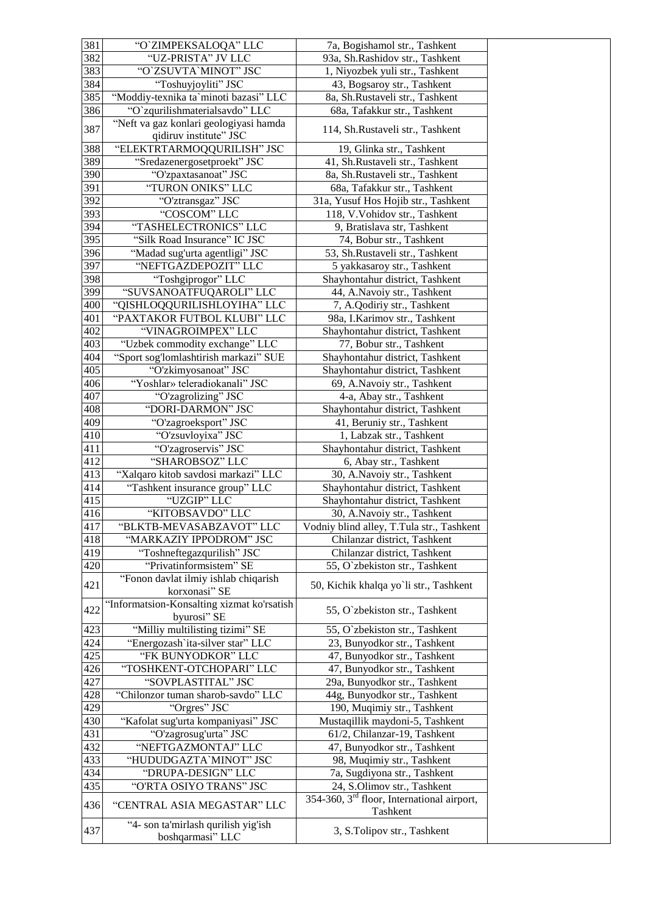| 381              | "O'ZIMPEKSALOQA" LLC                       | 7a, Bogishamol str., Tashkent                   |
|------------------|--------------------------------------------|-------------------------------------------------|
| 382              | "UZ-PRISTA" JV LLC                         | 93a, Sh.Rashidov str., Tashkent                 |
| 383              | "O`ZSUVTA`MINOT" JSC                       | 1, Niyozbek yuli str., Tashkent                 |
| 384              | "Toshuyjoyliti" JSC                        | 43, Bogsaroy str., Tashkent                     |
| 385              | "Moddiy-texnika ta`minoti bazasi" LLC      | 8a, Sh.Rustaveli str., Tashkent                 |
| 386              | "O`zqurilishmaterialsavdo" LLC             | 68a, Tafakkur str., Tashkent                    |
|                  | "Neft va gaz konlari geologiyasi hamda     |                                                 |
| 387              | qidiruv institute" JSC                     | 114, Sh.Rustaveli str., Tashkent                |
| 388              | "ELEKTRTARMOQQURILISH" JSC                 | 19, Glinka str., Tashkent                       |
| 389              | "Sredazenergosetproekt" JSC                | 41, Sh.Rustaveli str., Tashkent                 |
| 390              | "O'zpaxtasanoat" JSC                       | 8a, Sh.Rustaveli str., Tashkent                 |
| 391              | "TURON ONIKS" LLC                          | 68a, Tafakkur str., Tashkent                    |
| 392              | "O'ztransgaz" JSC                          | 31a, Yusuf Hos Hojib str., Tashkent             |
| 393              | "COSCOM" LLC                               | 118, V.Vohidov str., Tashkent                   |
| 394              | "TASHELECTRONICS" LLC                      | 9, Bratislava str, Tashkent                     |
| 395              | "Silk Road Insurance" IC JSC               | 74, Bobur str., Tashkent                        |
| 396              | "Madad sug'urta agentligi" JSC             | 53, Sh.Rustaveli str., Tashkent                 |
| 397              | "NEFTGAZDEPOZIT" LLC                       | 5 yakkasaroy str., Tashkent                     |
| 398              | "Toshgiprogor" LLC                         | Shayhontahur district, Tashkent                 |
| 399              | "SUVSANOATFUQAROLI" LLC                    | 44, A.Navoiy str., Tashkent                     |
| 400              | "QISHLOQQURILISHLOYIHA" LLC                | 7, A.Qodiriy str., Tashkent                     |
| 401              | "PAXTAKOR FUTBOL KLUBI" LLC                | 98a, I.Karimov str., Tashkent                   |
| 402              | "VINAGROIMPEX" LLC                         | Shayhontahur district, Tashkent                 |
| 403              | "Uzbek commodity exchange" LLC             | 77, Bobur str., Tashkent                        |
| 404              | "Sport sog'lomlashtirish markazi" SUE      | Shayhontahur district, Tashkent                 |
| 405              | "O'zkimyosanoat" JSC                       | Shayhontahur district, Tashkent                 |
| 406              | "Yoshlar» teleradiokanali" JSC             | 69, A.Navoiy str., Tashkent                     |
| $40\overline{7}$ | "O'zagrolizing" JSC                        | 4-a, Abay str., Tashkent                        |
| 408              | "DORI-DARMON" JSC                          | Shayhontahur district, Tashkent                 |
| 409              | "O'zagroeksport" JSC                       | 41, Beruniy str., Tashkent                      |
| 410              | "O'zsuvloyixa" JSC                         | 1, Labzak str., Tashkent                        |
| 411              | "O'zagroservis" JSC                        | Shayhontahur district, Tashkent                 |
| 412              | "SHAROBSOZ" LLC                            | 6, Abay str., Tashkent                          |
| 413              | "Xalqaro kitob savdosi markazi" LLC        | 30, A.Navoiy str., Tashkent                     |
| 414              | "Tashkent insurance group" LLC             | Shayhontahur district, Tashkent                 |
| 415              | "UZGIP" LLC                                | Shayhontahur district, Tashkent                 |
| 416              | "KITOBSAVDO" LLC                           | 30, A.Navoiy str., Tashkent                     |
| 417              | "BLKTB-MEVASABZAVOT" LLC                   | Vodniy blind alley, T.Tula str., Tashkent       |
| 418              | "MARKAZIY IPPODROM" JSC                    | Chilanzar district, Tashkent                    |
| 419              | "Toshneftegazqurilish" JSC                 | Chilanzar district, Tashkent                    |
| 420              | "Privatinformsistem" SE                    | 55, O`zbekiston str., Tashkent                  |
| 421              | "Fonon davlat ilmiy ishlab chiqarish       | 50, Kichik khalqa yo`li str., Tashkent          |
|                  | korxonasi" SE                              |                                                 |
| 422              | "Informatsion-Konsalting xizmat ko'rsatish | 55, O`zbekiston str., Tashkent                  |
|                  | byurosi" SE                                |                                                 |
| 423              | "Milliy multilisting tizimi" SE            | 55, O`zbekiston str., Tashkent                  |
| 424              | "Energozash'ita-silver star" LLC           | 23, Bunyodkor str., Tashkent                    |
| 425              | "FK BUNYODKOR" LLC                         | 47, Bunyodkor str., Tashkent                    |
| 426              | "TOSHKENT-OTCHOPARI" LLC                   | 47, Bunyodkor str., Tashkent                    |
| 427              | "SOVPLASTITAL" JSC                         | 29a, Bunyodkor str., Tashkent                   |
| 428              | "Chilonzor tuman sharob-savdo" LLC         | 44g, Bunyodkor str., Tashkent                   |
| 429              | "Orgres" JSC                               | 190, Muqimiy str., Tashkent                     |
| 430              | "Kafolat sug'urta kompaniyasi" JSC         | Mustaqillik maydoni-5, Tashkent                 |
| 431              | "O'zagrosug'urta" JSC                      | 61/2, Chilanzar-19, Tashkent                    |
| 432              | "NEFTGAZMONTAJ" LLC                        | 47, Bunyodkor str., Tashkent                    |
| 433              | "HUDUDGAZTA`MINOT" JSC                     | 98, Muqimiy str., Tashkent                      |
| 434              | "DRUPA-DESIGN" LLC                         | 7a, Sugdiyona str., Tashkent                    |
| 435              | "O'RTA OSIYO TRANS" JSC                    | 24, S.Olimov str., Tashkent                     |
| 436              | "CENTRAL ASIA MEGASTAR" LLC                | 354-360, $3^{rd}$ floor, International airport, |
|                  | "4- son ta'mirlash qurilish yig'ish        | Tashkent                                        |
| 437              | boshqarmasi" LLC                           | 3, S.Tolipov str., Tashkent                     |
|                  |                                            |                                                 |